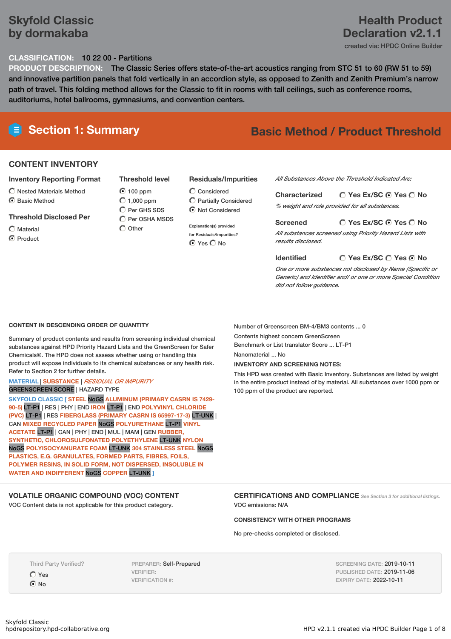### **Skyfold Classic by dormakaba**

### **Health Product Declaration v2.1.1**

created via: HPDC Online Builder

#### **CLASSIFICATION:** 10 22 00 - Partitions

**PRODUCT DESCRIPTION:** The Classic Series offers state-of-the-art acoustics ranging from STC 51 to 60 (RW 51 to 59) and innovative partition panels that fold vertically in an accordion style, as opposed to Zenith and Zenith Premium's narrow path of travel. This folding method allows for the Classic to fit in rooms with tall ceilings, such as conference rooms, auditoriums, hotel ballrooms, gymnasiums, and convention centers.

# **Section 1: Summary Basic Method / Product Threshold**

### **CONTENT INVENTORY**

#### **Inventory Reporting Format**

- $\bigcirc$  Nested Materials Method
- C Basic Method

#### **Threshold Disclosed Per**

Material

**O** Product

**Threshold level** 100 ppm  $O$  1,000 ppm C Per GHS SDS

 $\overline{O}$  Per OSHA MSDS  $\bigcirc$  Other

### **Residuals/Impurities**

Considered Partially Considered  $\odot$  Not Considered

**Explanation(s) provided for Residuals/Impurities?** ⊙ Yes O No

*All Substances Above the Threshold Indicated Are:*

**Yes Ex/SC Yes No Characterized** *% weight and role provided for all substances.*

#### **Yes Ex/SC Yes No Screened**

*All substances screened using Priority Hazard Lists with results disclosed.*

**Yes Ex/SC Yes No Identified** *One or more substances not disclosed by Name (Specific or Generic) and Identifier and/ or one or more Special Condition*

#### **CONTENT IN DESCENDING ORDER OF QUANTITY**

Summary of product contents and results from screening individual chemical substances against HPD Priority Hazard Lists and the GreenScreen for Safer Chemicals®. The HPD does not assess whether using or handling this product will expose individuals to its chemical substances or any health risk. Refer to Section 2 for further details.

#### **MATERIAL** | **SUBSTANCE** | *RESIDUAL OR IMPURITY* GREENSCREEN SCORE | HAZARD TYPE

**SKYFOLD CLASSIC [ STEEL** NoGS **ALUMINUM (PRIMARY CASRN IS 7429- 90-5)** LT-P1 | RES | PHY | END **IRON** LT-P1 | END **POLYVINYL CHLORIDE (PVC)** LT-P1 | RES **FIBERGLASS (PRIMARY CASRN IS 65997-17-3)** LT-UNK | CAN **MIXED RECYCLED PAPER** NoGS **POLYURETHANE** LT-P1 **VINYL ACETATE** LT-P1 | CAN | PHY | END | MUL | MAM | GEN **RUBBER, SYNTHETIC, CHLOROSULFONATED POLYETHYLENE** LT-UNK **NYLON** NoGS **POLYISOCYANURATE FOAM** LT-UNK **304 STAINLESS STEEL** NoGS **PLASTICS, E.G. GRANULATES, FORMED PARTS, FIBRES, FOILS, POLYMER RESINS, IN SOLID FORM, NOT DISPERSED, INSOLUBLE IN WATER AND INDIFFERENT** NoGS **COPPER** LT-UNK **]**

**VOLATILE ORGANIC COMPOUND (VOC) CONTENT** VOC Content data is not applicable for this product category.

Number of Greenscreen BM-4/BM3 contents ... 0

*did not follow guidance.*

Contents highest concern GreenScreen Benchmark or List translator Score ... LT-P1

Nanomaterial ... No

#### **INVENTORY AND SCREENING NOTES:**

This HPD was created with Basic Inventory. Substances are listed by weight in the entire product instead of by material. All substances over 1000 ppm or 100 ppm of the product are reported.

**CERTIFICATIONS AND COMPLIANCE** *See Section <sup>3</sup> for additional listings.* VOC emissions: N/A

#### **CONSISTENCY WITH OTHER PROGRAMS**

No pre-checks completed or disclosed.

Third Party Verified?

Yes  $\odot$  No

PREPARER: Self-Prepared VERIFIER: VERIFICATION #:

SCREENING DATE: 2019-10-11 PUBLISHED DATE: 2019-11-06 EXPIRY DATE: 2022-10-11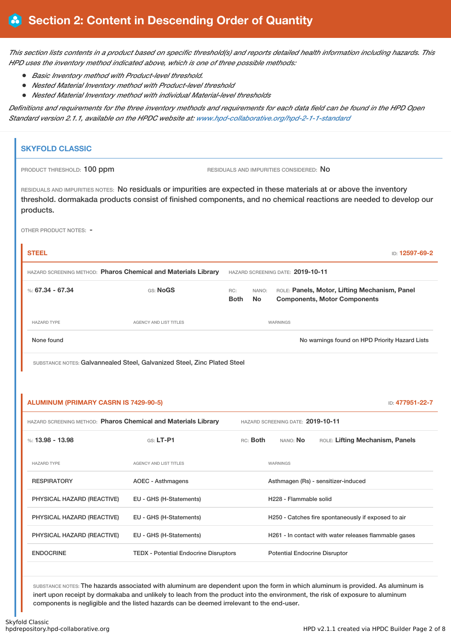This section lists contents in a product based on specific threshold(s) and reports detailed health information including hazards. This *HPD uses the inventory method indicated above, which is one of three possible methods:*

- *Basic Inventory method with Product-level threshold.*
- *Nested Material Inventory method with Product-level threshold*
- $\bullet$ *Nested Material Inventory method with individual Material-level thresholds*

Definitions and requirements for the three inventory methods and requirements for each data field can be found in the HPD Open *Standard version 2.1.1, available on the HPDC website at: [www.hpd-collaborative.org/hpd-2-1-1-standard](https://www.hpd-collaborative.org/hpd-2-1-1-standard)*

| <b>SKYFOLD CLASSIC</b>                                                                                                                                                                                                                                 |                                                                          |                    |                    |                                         |                                                     |                                                       |
|--------------------------------------------------------------------------------------------------------------------------------------------------------------------------------------------------------------------------------------------------------|--------------------------------------------------------------------------|--------------------|--------------------|-----------------------------------------|-----------------------------------------------------|-------------------------------------------------------|
| PRODUCT THRESHOLD: 100 ppm                                                                                                                                                                                                                             |                                                                          |                    |                    | RESIDUALS AND IMPURITIES CONSIDERED: NO |                                                     |                                                       |
| RESIDUALS AND IMPURITIES NOTES: No residuals or impurities are expected in these materials at or above the inventory<br>threshold. dormakada products consist of finished components, and no chemical reactions are needed to develop our<br>products. |                                                                          |                    |                    |                                         |                                                     |                                                       |
| OTHER PRODUCT NOTES: -                                                                                                                                                                                                                                 |                                                                          |                    |                    |                                         |                                                     |                                                       |
| <b>STEEL</b>                                                                                                                                                                                                                                           |                                                                          |                    |                    |                                         |                                                     | ID: 12597-69-2                                        |
| HAZARD SCREENING METHOD: Pharos Chemical and Materials Library                                                                                                                                                                                         |                                                                          |                    |                    | HAZARD SCREENING DATE: 2019-10-11       |                                                     |                                                       |
| %: $67.34 - 67.34$                                                                                                                                                                                                                                     | GS: NoGS                                                                 | RC:<br><b>Both</b> | NANO:<br><b>No</b> |                                         | <b>Components, Motor Components</b>                 | ROLE: Panels, Motor, Lifting Mechanism, Panel         |
| <b>HAZARD TYPE</b>                                                                                                                                                                                                                                     | AGENCY AND LIST TITLES                                                   |                    |                    | WARNINGS                                |                                                     |                                                       |
| None found                                                                                                                                                                                                                                             |                                                                          |                    |                    |                                         |                                                     | No warnings found on HPD Priority Hazard Lists        |
| <b>ALUMINUM (PRIMARY CASRN IS 7429-90-5)</b>                                                                                                                                                                                                           | SUBSTANCE NOTES: Galvannealed Steel, Galvanized Steel, Zinc Plated Steel |                    |                    |                                         |                                                     | ID: 477951-22-7                                       |
| HAZARD SCREENING METHOD: Pharos Chemical and Materials Library                                                                                                                                                                                         |                                                                          |                    |                    | HAZARD SCREENING DATE: 2019-10-11       |                                                     |                                                       |
| %: 13.98 - 13.98                                                                                                                                                                                                                                       | GS: LT-P1                                                                |                    | RC: Both           | NANO: No                                |                                                     | ROLE: Lifting Mechanism, Panels                       |
| <b>HAZARD TYPE</b>                                                                                                                                                                                                                                     | AGENCY AND LIST TITLES                                                   |                    |                    | WARNINGS                                |                                                     |                                                       |
| <b>RESPIRATORY</b>                                                                                                                                                                                                                                     | <b>AOEC - Asthmagens</b>                                                 |                    |                    |                                         | Asthmagen (Rs) - sensitizer-induced                 |                                                       |
| PHYSICAL HAZARD (REACTIVE)                                                                                                                                                                                                                             | EU - GHS (H-Statements)                                                  |                    |                    | H228 - Flammable solid                  |                                                     |                                                       |
| PHYSICAL HAZARD (REACTIVE)                                                                                                                                                                                                                             | EU - GHS (H-Statements)                                                  |                    |                    |                                         | H250 - Catches fire spontaneously if exposed to air |                                                       |
| PHYSICAL HAZARD (REACTIVE)                                                                                                                                                                                                                             | EU - GHS (H-Statements)                                                  |                    |                    |                                         |                                                     | H261 - In contact with water releases flammable gases |
| <b>ENDOCRINE</b>                                                                                                                                                                                                                                       | <b>TEDX</b> - Potential Endocrine Disruptors                             |                    |                    | <b>Potential Endocrine Disruptor</b>    |                                                     |                                                       |
|                                                                                                                                                                                                                                                        |                                                                          |                    |                    |                                         |                                                     |                                                       |

SUBSTANCE NOTES: The hazards associated with aluminum are dependent upon the form in which aluminum is provided. As aluminum is inert upon receipt by dormakaba and unlikely to leach from the product into the environment, the risk of exposure to aluminum components is negligible and the listed hazards can be deemed irrelevant to the end-user.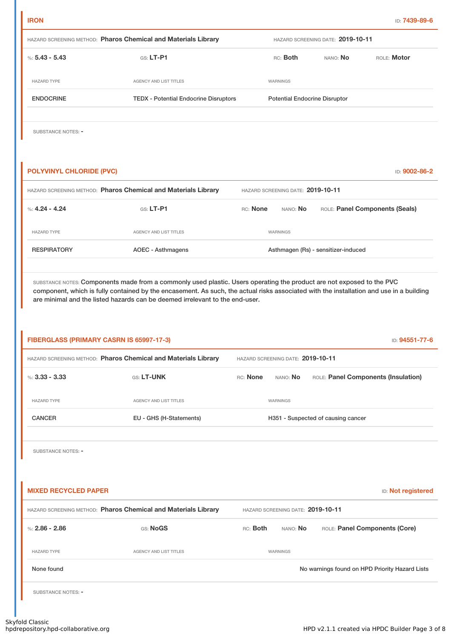| %: $5.43 - 5.43$                         | $G.S. LT-P1$                                                   | RC: Both                          |                                   |                                      |                                                |
|------------------------------------------|----------------------------------------------------------------|-----------------------------------|-----------------------------------|--------------------------------------|------------------------------------------------|
| <b>HAZARD TYPE</b>                       | AGENCY AND LIST TITLES                                         |                                   | WARNINGS                          |                                      |                                                |
| <b>ENDOCRINE</b>                         | <b>TEDX - Potential Endocrine Disruptors</b>                   |                                   |                                   | <b>Potential Endocrine Disruptor</b> |                                                |
| SUBSTANCE NOTES: -                       |                                                                |                                   |                                   |                                      |                                                |
| <b>POLYVINYL CHLORIDE (PVC)</b>          | HAZARD SCREENING METHOD: Pharos Chemical and Materials Library | HAZARD SCREENING DATE: 2019-10-11 |                                   |                                      | ID: 9002-86-2                                  |
| %: $4.24 - 4.24$                         | GS: LT-P1                                                      | RC: None                          | nano: <b>No</b>                   |                                      | ROLE: Panel Components (Seals)                 |
| <b>HAZARD TYPE</b>                       | AGENCY AND LIST TITLES                                         |                                   | WARNINGS                          |                                      |                                                |
| <b>RESPIRATORY</b>                       | <b>AOEC - Asthmagens</b>                                       |                                   |                                   | Asthmagen (Rs) - sensitizer-induced  |                                                |
|                                          |                                                                |                                   |                                   |                                      |                                                |
| FIBERGLASS (PRIMARY CASRN IS 65997-17-3) | HAZARD SCREENING METHOD: Pharos Chemical and Materials Library | HAZARD SCREENING DATE: 2019-10-11 |                                   |                                      | ID: 94551-77-6                                 |
|                                          | GS: LT-UNK                                                     | RC: None                          | NANO: No                          |                                      | ROLE: Panel Components (Insulation)            |
| %: $3.33 - 3.33$<br><b>HAZARD TYPE</b>   | <b>AGENCY AND LIST TITLES</b>                                  |                                   | WARNINGS                          |                                      |                                                |
| <b>CANCER</b>                            | EU - GHS (H-Statements)                                        |                                   |                                   | H351 - Suspected of causing cancer   |                                                |
| SUBSTANCE NOTES: -                       |                                                                |                                   |                                   |                                      |                                                |
| <b>MIXED RECYCLED PAPER</b>              |                                                                |                                   |                                   |                                      | <b>ID:</b> Not registered                      |
|                                          | HAZARD SCREENING METHOD: Pharos Chemical and Materials Library |                                   | HAZARD SCREENING DATE: 2019-10-11 |                                      |                                                |
| %: $2.86 - 2.86$                         | GS: NoGS                                                       | RC: <b>Both</b>                   | NANO: <b>No</b>                   |                                      | ROLE: Panel Components (Core)                  |
| <b>HAZARD TYPE</b>                       | AGENCY AND LIST TITLES                                         |                                   | WARNINGS                          |                                      |                                                |
| None found                               |                                                                |                                   |                                   |                                      | No warnings found on HPD Priority Hazard Lists |
| <b>SUBSTANCE NOTES: -</b>                |                                                                |                                   |                                   |                                      |                                                |

HAZARD SCREENING METHOD: **Pharos Chemical and Materials Library** HAZARD SCREENING DATE: **2019-10-11**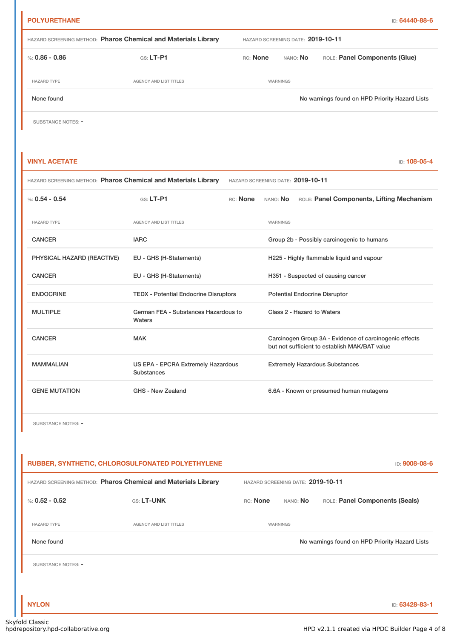HAZARD SCREENING METHOD: **Pharos Chemical and Materials Library** HAZARD SCREENING DATE: **2019-10-11** %: 0.86 **-** 0.86 GS: LT-P1 RC: None NANO: No ROLE: Panel Components (Glue) HAZARD TYPE **AGENCY AND LIST TITLES AGENCY AND LIST TITLES** None found No warnings found on HPD Priority Hazard Lists

SUBSTANCE NOTES: -

#### **VINYL ACETATE** ID: **108-05-4**

| <b>HAZARD SCREENING METHOD: Pharos Chemical and Materials Library</b> | HAZARD SCREENING DATE: 2019-10-11 |
|-----------------------------------------------------------------------|-----------------------------------|
|-----------------------------------------------------------------------|-----------------------------------|

| $\%$ : 0.54 - 0.54         | GS: LT-P1                                        | RC: None | nano: <b>No</b> | ROLE: Panel Components, Lifting Mechanism                                                               |
|----------------------------|--------------------------------------------------|----------|-----------------|---------------------------------------------------------------------------------------------------------|
| <b>HAZARD TYPE</b>         | AGENCY AND LIST TITLES                           |          | WARNINGS        |                                                                                                         |
| <b>CANCER</b>              | <b>IARC</b>                                      |          |                 | Group 2b - Possibly carcinogenic to humans                                                              |
| PHYSICAL HAZARD (REACTIVE) | EU - GHS (H-Statements)                          |          |                 | H225 - Highly flammable liquid and vapour                                                               |
| <b>CANCER</b>              | EU - GHS (H-Statements)                          |          |                 | H351 - Suspected of causing cancer                                                                      |
| <b>ENDOCRINE</b>           | <b>TEDX - Potential Endocrine Disruptors</b>     |          |                 | <b>Potential Endocrine Disruptor</b>                                                                    |
| <b>MULTIPLE</b>            | German FEA - Substances Hazardous to<br>Waters   |          |                 | Class 2 - Hazard to Waters                                                                              |
| <b>CANCER</b>              | <b>MAK</b>                                       |          |                 | Carcinogen Group 3A - Evidence of carcinogenic effects<br>but not sufficient to establish MAK/BAT value |
| <b>MAMMALIAN</b>           | US EPA - EPCRA Extremely Hazardous<br>Substances |          |                 | <b>Extremely Hazardous Substances</b>                                                                   |
| <b>GENE MUTATION</b>       | GHS - New Zealand                                |          |                 | 6.6A - Known or presumed human mutagens                                                                 |

SUBSTANCE NOTES: -

| RUBBER, SYNTHETIC, CHLOROSULFONATED POLYETHYLENE<br>ID: 9008-08-6 |                               |                                   |                 |                                                |  |  |
|-------------------------------------------------------------------|-------------------------------|-----------------------------------|-----------------|------------------------------------------------|--|--|
| HAZARD SCREENING METHOD: Pharos Chemical and Materials Library    |                               | HAZARD SCREENING DATE: 2019-10-11 |                 |                                                |  |  |
| %: $0.52 - 0.52$                                                  | <b>GS: LT-UNK</b>             | RC: None                          | NANO: <b>No</b> | ROLE: Panel Components (Seals)                 |  |  |
| <b>HAZARD TYPE</b>                                                | <b>AGENCY AND LIST TITLES</b> |                                   | WARNINGS        |                                                |  |  |
| None found                                                        |                               |                                   |                 | No warnings found on HPD Priority Hazard Lists |  |  |
| SUBSTANCE NOTES: -                                                |                               |                                   |                 |                                                |  |  |
|                                                                   |                               |                                   |                 |                                                |  |  |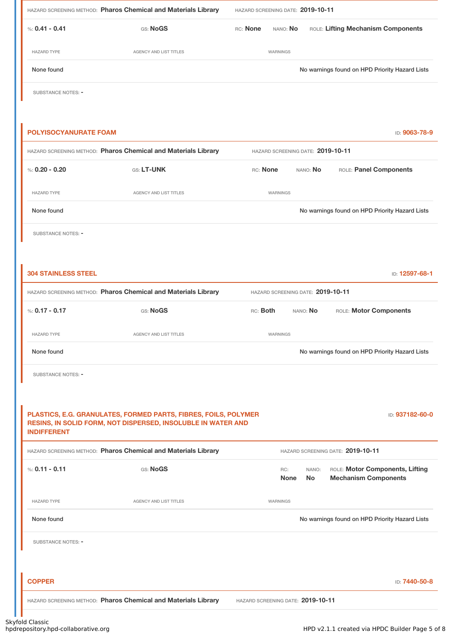|                              | HAZARD SCREENING METHOD: Pharos Chemical and Materials Library  | HAZARD SCREENING DATE: 2019-10-11                                                                          |
|------------------------------|-----------------------------------------------------------------|------------------------------------------------------------------------------------------------------------|
| %: $0.41 - 0.41$             | GS: NoGS                                                        | RC: None<br>ROLE: Lifting Mechanism Components<br>NANO: No                                                 |
| <b>HAZARD TYPE</b>           | AGENCY AND LIST TITLES                                          | WARNINGS                                                                                                   |
| None found                   |                                                                 | No warnings found on HPD Priority Hazard Lists                                                             |
| SUBSTANCE NOTES: -           |                                                                 |                                                                                                            |
|                              |                                                                 |                                                                                                            |
| <b>POLYISOCYANURATE FOAM</b> |                                                                 | ID: 9063-78-9                                                                                              |
|                              | HAZARD SCREENING METHOD: Pharos Chemical and Materials Library  | HAZARD SCREENING DATE: 2019-10-11                                                                          |
| %: $0.20 - 0.20$             | GS: LT-UNK                                                      | ROLE: Panel Components<br>RC: None<br>NANO: No                                                             |
| <b>HAZARD TYPE</b>           | <b>AGENCY AND LIST TITLES</b>                                   | WARNINGS                                                                                                   |
| None found                   |                                                                 | No warnings found on HPD Priority Hazard Lists                                                             |
| <b>SUBSTANCE NOTES: -</b>    |                                                                 |                                                                                                            |
|                              |                                                                 |                                                                                                            |
| <b>304 STAINLESS STEEL</b>   |                                                                 | ID: 12597-68-1                                                                                             |
|                              | HAZARD SCREENING METHOD: Pharos Chemical and Materials Library  | HAZARD SCREENING DATE: 2019-10-11                                                                          |
| %: $0.17 - 0.17$             | GS: NoGS                                                        | RC: Both<br>ROLE: Motor Components<br>NANO: No                                                             |
| <b>HAZARD TYPE</b>           | AGENCY AND LIST TITLES                                          | WARNINGS                                                                                                   |
| None found                   |                                                                 | No warnings found on HPD Priority Hazard Lists                                                             |
| SUBSTANCE NOTES: -           |                                                                 |                                                                                                            |
|                              |                                                                 |                                                                                                            |
|                              | PLASTICS, E.G. GRANULATES, FORMED PARTS, FIBRES, FOILS, POLYMER | ID: 937182-60-0                                                                                            |
| <b>INDIFFERENT</b>           | RESINS, IN SOLID FORM, NOT DISPERSED, INSOLUBLE IN WATER AND    |                                                                                                            |
|                              | HAZARD SCREENING METHOD: Pharos Chemical and Materials Library  | HAZARD SCREENING DATE: 2019-10-11                                                                          |
| %: $0.11 - 0.11$             | GS: NoGS                                                        | ROLE: Motor Components, Lifting<br>RC:<br>NANO:<br><b>No</b><br><b>Mechanism Components</b><br><b>None</b> |
| <b>HAZARD TYPE</b>           | AGENCY AND LIST TITLES                                          | WARNINGS                                                                                                   |
| None found                   |                                                                 | No warnings found on HPD Priority Hazard Lists                                                             |
| SUBSTANCE NOTES: -           |                                                                 |                                                                                                            |
|                              |                                                                 |                                                                                                            |
| <b>COPPER</b>                |                                                                 | ID: 7440-50-8                                                                                              |
|                              | HAZARD SCREENING METHOD: Pharos Chemical and Materials Library  | HAZARD SCREENING DATE: 2019-10-11                                                                          |

T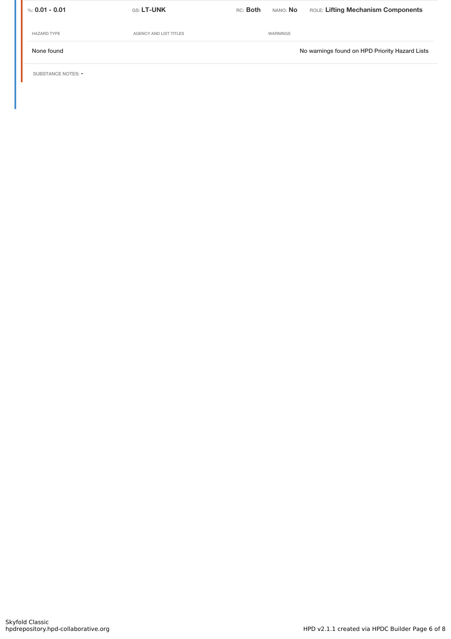| %: 0.01 - 0.01     | <b>GS: LT-UNK</b>      | RC: <b>Both</b> | nano: <b>No</b> | ROLE: Lifting Mechanism Components             |
|--------------------|------------------------|-----------------|-----------------|------------------------------------------------|
| <b>HAZARD TYPE</b> | AGENCY AND LIST TITLES |                 | WARNINGS        |                                                |
| None found         |                        |                 |                 | No warnings found on HPD Priority Hazard Lists |
|                    |                        |                 |                 |                                                |

SUBSTANCE NOTES: -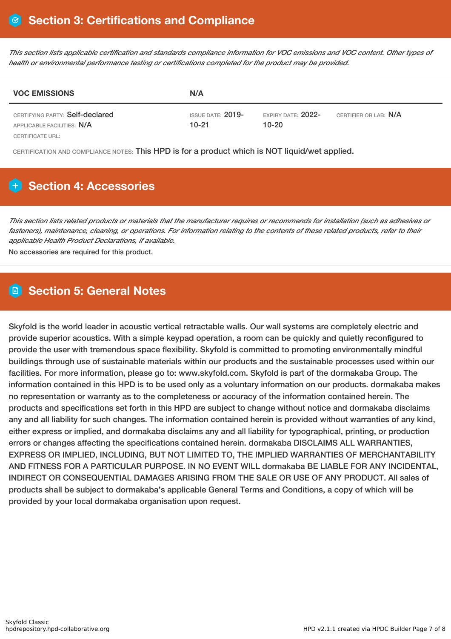This section lists applicable certification and standards compliance information for VOC emissions and VOC content. Other types of *health or environmental performance testing or certifications completed for the product may be provided.*

| <b>VOC EMISSIONS</b>                                          | N/A                             |                                 |                              |
|---------------------------------------------------------------|---------------------------------|---------------------------------|------------------------------|
| CERTIFYING PARTY: Self-declared<br>APPLICABLE FACILITIES: N/A | ISSUE DATE: $2019$ -<br>$10-21$ | EXPIRY DATE: $2022-$<br>$10-20$ | CERTIFIER OR LAB: <b>N/A</b> |
| CERTIFICATE URL:                                              |                                 |                                 |                              |

CERTIFICATION AND COMPLIANCE NOTES: This HPD is for a product which is NOT liquid/wet applied.

# **Section 4: Accessories**

This section lists related products or materials that the manufacturer requires or recommends for installation (such as adhesives or fasteners), maintenance, cleaning, or operations. For information relating to the contents of these related products, refer to their *applicable Health Product Declarations, if available.*

No accessories are required for this product.

### **Section 5: General Notes**

Skyfold is the world leader in acoustic vertical retractable walls. Our wall systems are completely electric and provide superior acoustics. With a simple keypad operation, a room can be quickly and quietly reconfigured to provide the user with tremendous space flexibility. Skyfold is committed to promoting environmentally mindful buildings through use of sustainable materials within our products and the sustainable processes used within our facilities. For more information, please go to: www.skyfold.com. Skyfold is part of the dormakaba Group. The information contained in this HPD is to be used only as a voluntary information on our products. dormakaba makes no representation or warranty as to the completeness or accuracy of the information contained herein. The products and specifications set forth in this HPD are subject to change without notice and dormakaba disclaims any and all liability for such changes. The information contained herein is provided without warranties of any kind, either express or implied, and dormakaba disclaims any and all liability for typographical, printing, or production errors or changes affecting the specifications contained herein. dormakaba DISCLAIMS ALL WARRANTIES, EXPRESS OR IMPLIED, INCLUDING, BUT NOT LIMITED TO, THE IMPLIED WARRANTIES OF MERCHANTABILITY AND FITNESS FOR A PARTICULAR PURPOSE. IN NO EVENT WILL dormakaba BE LIABLE FOR ANY INCIDENTAL, INDIRECT OR CONSEQUENTIAL DAMAGES ARISING FROM THE SALE OR USE OF ANY PRODUCT. All sales of products shall be subject to dormakaba's applicable General Terms and Conditions, a copy of which will be provided by your local dormakaba organisation upon request.